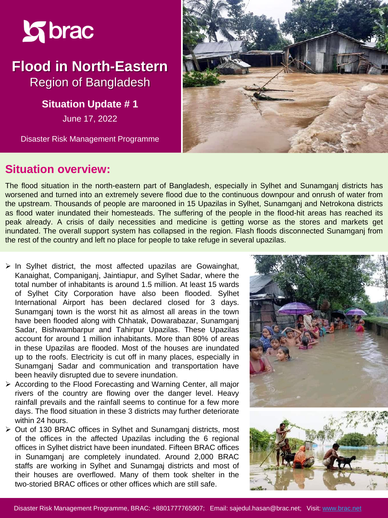

# **Flood in North-Eastern**  Region of Bangladesh

**Situation Update #1** 

June 17, 2022

Disaster Risk Management Programme



#### **Situation overview:**

The flood situation in the north-eastern part of Bangladesh, especially in Sylhet and Sunamganj districts has worsened and turned into an extremely severe flood due to the continuous downpour and onrush of water from the upstream. Thousands of people are marooned in 15 Upazilas in Sylhet, Sunamganj and Netrokona districts as flood water inundated their homesteads. The suffering of the people in the flood-hit areas has reached its peak already. A crisis of daily necessities and medicine is getting worse as the stores and markets get inundated. The overall support system has collapsed in the region. Flash floods disconnected Sunamganj from the rest of the country and left no place for people to take refuge in several upazilas.

- $\triangleright$  In Sylhet district, the most affected upazilas are Gowainghat, Kanaighat, Companiganj, Jaintiapur, and Sylhet Sadar, where the total number of inhabitants is around 1.5 million. At least 15 wards of Sylhet City Corporation have also been flooded. Sylhet International Airport has been declared closed for 3 days. Sunamganj town is the worst hit as almost all areas in the town have been flooded along with Chhatak, Dowarabazar, Sunamganj Sadar, Bishwambarpur and Tahirpur Upazilas. These Upazilas account for around 1 million inhabitants. More than 80% of areas in these Upazilas are flooded. Most of the houses are inundated up to the roofs. Electricity is cut off in many places, especially in Sunamganj Sadar and communication and transportation have been heavily disrupted due to severe inundation.
- ➢ According to the Flood Forecasting and Warning Center, all major rivers of the country are flowing over the danger level. Heavy rainfall prevails and the rainfall seems to continue for a few more days. The flood situation in these 3 districts may further deteriorate within 24 hours.
- ➢ Out of 130 BRAC offices in Sylhet and Sunamganj districts, most of the offices in the affected Upazilas including the 6 regional offices in Sylhet district have been inundated. Fifteen BRAC offices in Sunamganj are completely inundated. Around 2,000 BRAC staffs are working in Sylhet and Sunamgaj districts and most of their houses are overflowed. Many of them took shelter in the two-storied BRAC offices or other offices which are still safe.